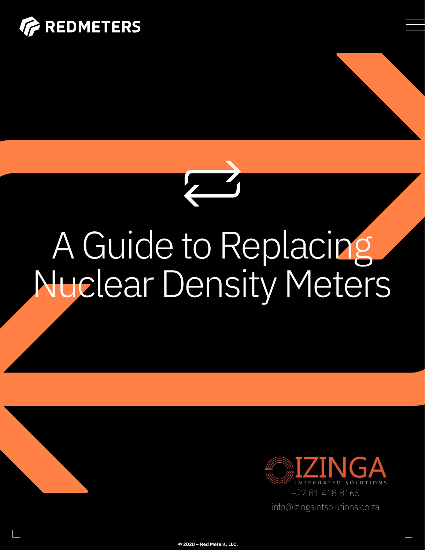



# A Guide to Replacing Nuclear Density Meters



**© 2020 – Red Meters, LLC.**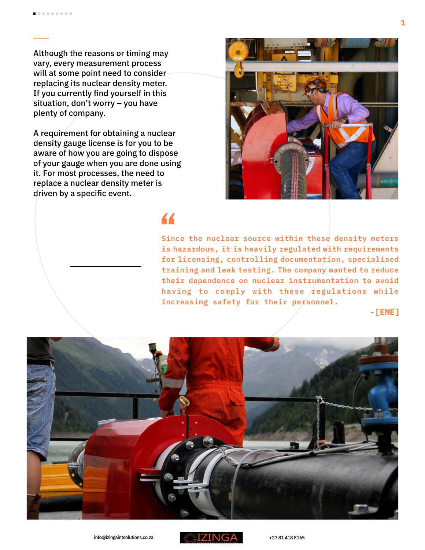Although the reasons or timing may vary, every measurement process will at some point need to consider replacing its nuclear density meter. If you currently find yourself in this situation, don't worry – you have plenty of company.

A requirement for obtaining a nuclear density gauge license is for you to be aware of how you are going to dispose of your gauge when you are done using it. For most processes, the need to replace a nuclear density meter is driven by a specific event.



### 44

**Since the nuclear source within these density meters is hazardous, it is heavily regulated with requirements for licensing, controlling documentation, specialised training and leak testing. The company wanted to reduce their dependence on nuclear instrumentation to avoid**  having to comply with these *regulations while* **increasing safety for their personnel.**

**-[EME]**



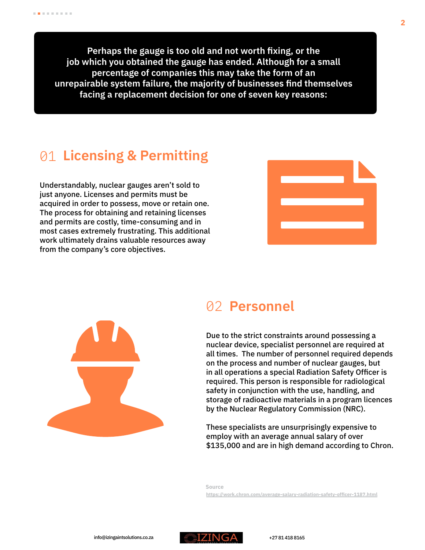**Perhaps the gauge is too old and not worth fixing, or the job which you obtained the gauge has ended. Although for a small percentage of companies this may take the form of an unrepairable system failure, the majority of businesses find themselves facing a replacement decision for one of seven key reasons:**

## 01 **Licensing & Permitting**

Understandably, nuclear gauges aren't sold to just anyone. Licenses and permits must be acquired in order to possess, move or retain one. The process for obtaining and retaining licenses and permits are costly, time-consuming and in most cases extremely frustrating. This additional work ultimately drains valuable resources away from the company's core objectives.





### 02 **Personnel**

Due to the strict constraints around possessing a nuclear device, specialist personnel are required at all times. The number of personnel required depends on the process and number of nuclear gauges, but in all operations a special Radiation Safety Officer is required. This person is responsible for radiological safety in conjunction with the use, handling, and storage of radioactive materials in a program licences by the Nuclear Regulatory Commission (NRC).

These specialists are unsurprisingly expensive to employ with an average annual salary of over \$135,000 and are in high demand according to Chron.

**Source <https://work.chron.com/average-salary-radiation-safety-officer-1187.html>**

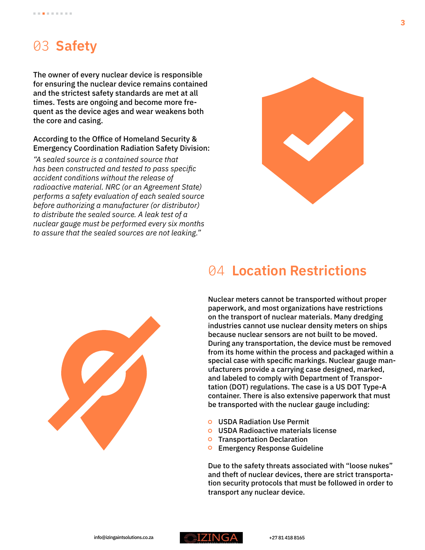# 03 **Safety**

The owner of every nuclear device is responsible for ensuring the nuclear device remains contained and the strictest safety standards are met at all times. Tests are ongoing and become more frequent as the device ages and wear weakens both the core and casing.

### According to the Office of Homeland Security & Emergency Coordination Radiation Safety Division:

*"A sealed source is a contained source that has been constructed and tested to pass specific accident conditions without the release of radioactive material. NRC (or an Agreement State) performs a safety evaluation of each sealed source before authorizing a manufacturer (or distributor) to distribute the sealed source. A leak test of a nuclear gauge must be performed every six months to assure that the sealed sources are not leaking."* 



### 04 **Location Restrictions**



Nuclear meters cannot be transported without proper paperwork, and most organizations have restrictions on the transport of nuclear materials. Many dredging industries cannot use nuclear density meters on ships because nuclear sensors are not built to be moved. During any transportation, the device must be removed from its home within the process and packaged within a special case with specific markings. Nuclear gauge manufacturers provide a carrying case designed, marked, and labeled to comply with Department of Transportation (DOT) regulations. The case is a US DOT Type-A container. There is also extensive paperwork that must be transported with the nuclear gauge including:

- USDA Radiation Use Permit
- USDA Radioactive materials license
- **O** Transportation Declaration
- **O** Emergency Response Guideline

Due to the safety threats associated with "loose nukes" and theft of nuclear devices, there are strict transportation security protocols that must be followed in order to transport any nuclear device.

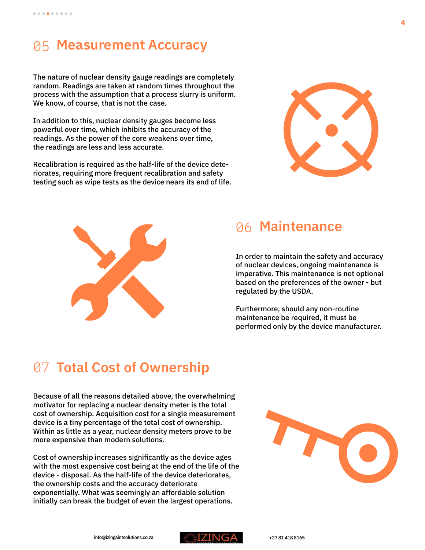### 05 **Measurement Accuracy**

The nature of nuclear density gauge readings are completely random. Readings are taken at random times throughout the process with the assumption that a process slurry is uniform. We know, of course, that is not the case.

In addition to this, nuclear density gauges become less powerful over time, which inhibits the accuracy of the readings. As the power of the core weakens over time, the readings are less and less accurate.

Recalibration is required as the half-life of the device deteriorates, requiring more frequent recalibration and safety testing such as wipe tests as the device nears its end of life.





### 06 **Maintenance**

In order to maintain the safety and accuracy of nuclear devices, ongoing maintenance is imperative. This maintenance is not optional based on the preferences of the owner - but regulated by the USDA.

Furthermore, should any non-routine maintenance be required, it must be performed only by the device manufacturer.

# 07 **Total Cost of Ownership**

Because of all the reasons detailed above, the overwhelming motivator for replacing a nuclear density meter is the total cost of ownership. Acquisition cost for a single measurement device is a tiny percentage of the total cost of ownership. Within as little as a year, nuclear density meters prove to be more expensive than modern solutions.

Cost of ownership increases significantly as the device ages with the most expensive cost being at the end of the life of the device - disposal. As the half-life of the device deteriorates, the ownership costs and the accuracy deteriorate exponentially. What was seemingly an affordable solution initially can break the budget of even the largest operations.



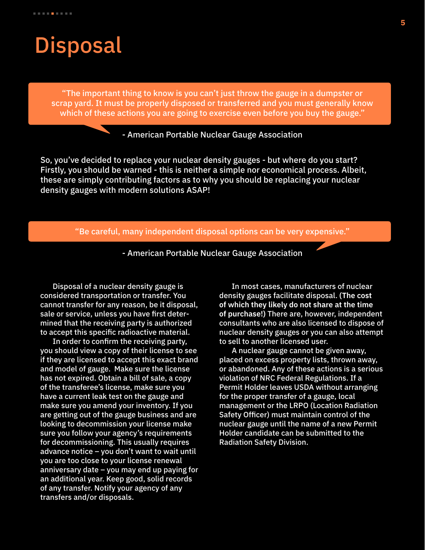# **Disposal**

"The important thing to know is you can't just throw the gauge in a dumpster or scrap yard. It must be properly disposed or transferred and you must generally know which of these actions you are going to exercise even before you buy the gauge."

#### - American Portable Nuclear Gauge Association

So, you've decided to replace your nuclear density gauges - but where do you start? Firstly, you should be warned - this is neither a simple nor economical process. Albeit, these are simply contributing factors as to why you should be replacing your nuclear density gauges with modern solutions ASAP!

"Be careful, many independent disposal options can be very expensive."

- American Portable Nuclear Gauge Association

Disposal of a nuclear density gauge is considered transportation or transfer. You cannot transfer for any reason, be it disposal, sale or service, unless you have first determined that the receiving party is authorized to accept this specific radioactive material.

In order to confirm the receiving party, you should view a copy of their license to see if they are licensed to accept this exact brand and model of gauge. Make sure the license has not expired. Obtain a bill of sale, a copy of the transferee's license, make sure you have a current leak test on the gauge and make sure you amend your inventory. If you are getting out of the gauge business and are looking to decommission your license make sure you follow your agency's requirements for decommissioning. This usually requires advance notice – you don't want to wait until you are too close to your license renewal anniversary date – you may end up paying for an additional year. Keep good, solid records of any transfer. Notify your agency of any transfers and/or disposals.

In most cases, manufacturers of nuclear density gauges facilitate disposal. **(The cost of which they likely do not share at the time of purchase!)** There are, however, independent consultants who are also licensed to dispose of nuclear density gauges or you can also attempt to sell to another licensed user.

A nuclear gauge cannot be given away, placed on excess property lists, thrown away, or abandoned. Any of these actions is a serious violation of NRC Federal Regulations. If a Permit Holder leaves USDA without arranging for the proper transfer of a gauge, local management or the LRPO (Location Radiation Safety Officer) must maintain control of the nuclear gauge until the name of a new Permit Holder candidate can be submitted to the Radiation Safety Division.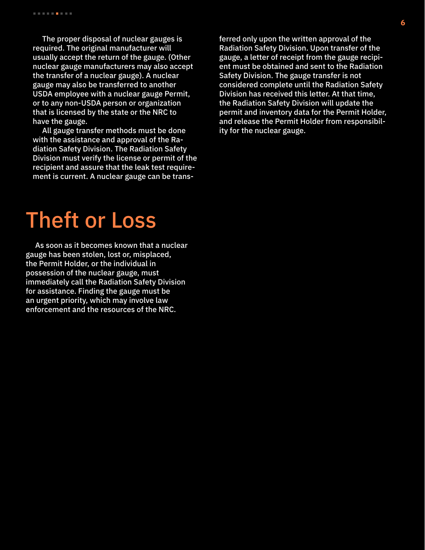The proper disposal of nuclear gauges is required. The original manufacturer will usually accept the return of the gauge. (Other nuclear gauge manufacturers may also accept the transfer of a nuclear gauge). A nuclear gauge may also be transferred to another USDA employee with a nuclear gauge Permit, or to any non-USDA person or organization that is licensed by the state or the NRC to have the gauge.

All gauge transfer methods must be done with the assistance and approval of the Radiation Safety Division. The Radiation Safety Division must verify the license or permit of the recipient and assure that the leak test requirement is current. A nuclear gauge can be trans-

# Theft or Loss

As soon as it becomes known that a nuclear gauge has been stolen, lost or, misplaced, the Permit Holder, or the individual in possession of the nuclear gauge, must immediately call the Radiation Safety Division for assistance. Finding the gauge must be an urgent priority, which may involve law enforcement and the resources of the NRC.

ferred only upon the written approval of the Radiation Safety Division. Upon transfer of the gauge, a letter of receipt from the gauge recipient must be obtained and sent to the Radiation Safety Division. The gauge transfer is not considered complete until the Radiation Safety Division has received this letter. At that time, the Radiation Safety Division will update the permit and inventory data for the Permit Holder, and release the Permit Holder from responsibility for the nuclear gauge.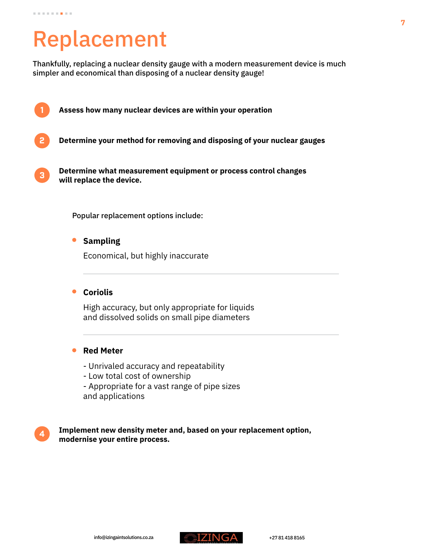# Replacement

Thankfully, replacing a nuclear density gauge with a modern measurement device is much simpler and economical than disposing of a nuclear density gauge!

- 1 2 **Assess how many nuclear devices are within your operation Determine your method for removing and disposing of your nuclear gauges**
	- 3 **Determine what measurement equipment or process control changes will replace the device.**

Popular replacement options include:

 $\bullet$ **Sampling** 

Economical, but highly inaccurate

#### $\bullet$ **Coriolis**

High accuracy, but only appropriate for liquids and dissolved solids on small pipe diameters

### **Red Meter**

- Unrivaled accuracy and repeatability
- Low total cost of ownership
- Appropriate for a vast range of pipe sizes and applications



**Implement new density meter and, based on your replacement option, modernise your entire process.**

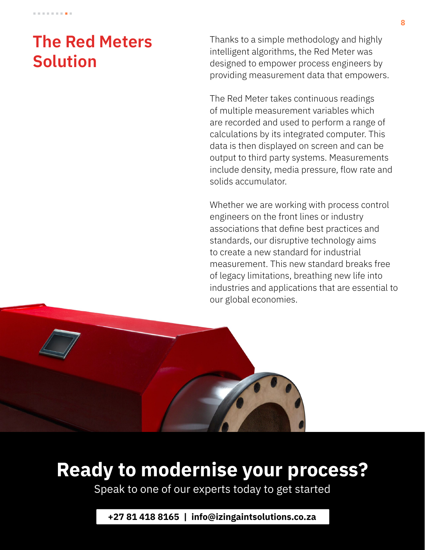# **The Red Meters Solution**

Thanks to a simple methodology and highly intelligent algorithms, the Red Meter was designed to empower process engineers by providing measurement data that empowers.

The Red Meter takes continuous readings of multiple measurement variables which are recorded and used to perform a range of calculations by its integrated computer. This data is then displayed on screen and can be output to third party systems. Measurements include density, media pressure, flow rate and solids accumulator.

Whether we are working with process control engineers on the front lines or industry associations that define best practices and standards, our disruptive technology aims to create a new standard for industrial measurement. This new standard breaks free of legacy limitations, breathing new life into industries and applications that are essential to our global economies.



# **Ready to modernise your process?**

Speak to one of our experts today to get started

**+27 81 418 8165 | info@izingaintsolutions.co.za**